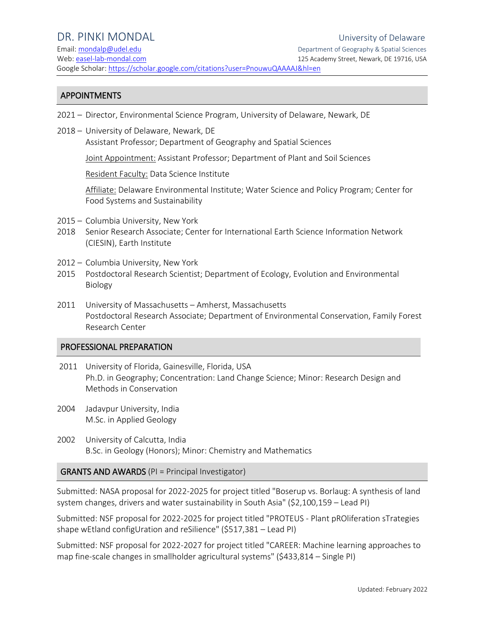Email: [mondalp@udel.edu](mailto:mondalp@udel.edu) Department of Geography & Spatial Sciences Web: [easel-lab-mondal.com](http://pinki-mondal.weebly.com/) 125 Academy Street, Newark, DE 19716, USA Google Scholar:<https://scholar.google.com/citations?user=PnouwuQAAAAJ&hl=en>

#### APPOINTMENTS

- 2021 Director, Environmental Science Program, University of Delaware, Newark, DE
- 2018 University of Delaware, Newark, DE Assistant Professor; Department of Geography and Spatial Sciences

Joint Appointment: Assistant Professor; Department of Plant and Soil Sciences

Resident Faculty: Data Science Institute

Affiliate: Delaware Environmental Institute; Water Science and Policy Program; Center for Food Systems and Sustainability

- 2015 Columbia University, New York
- 2018 Senior Research Associate; Center for International Earth Science Information Network (CIESIN), Earth Institute
- 2012 Columbia University, New York
- 2015 Postdoctoral Research Scientist; Department of Ecology, Evolution and Environmental Biology
- 2011 University of Massachusetts Amherst, Massachusetts Postdoctoral Research Associate; Department of Environmental Conservation, Family Forest Research Center

#### PROFESSIONAL PREPARATION

- 2011 University of Florida, Gainesville, Florida, USA Ph.D. in Geography; Concentration: Land Change Science; Minor: Research Design and Methods in Conservation
- 2004 Jadavpur University, India M.Sc. in Applied Geology
- 2002 University of Calcutta, India B.Sc. in Geology (Honors); Minor: Chemistry and Mathematics

### GRANTS AND AWARDS (PI = Principal Investigator)

Submitted: NASA proposal for 2022-2025 for project titled "Boserup vs. Borlaug: A synthesis of land system changes, drivers and water sustainability in South Asia" (\$2,100,159 – Lead PI)

Submitted: NSF proposal for 2022-2025 for project titled "PROTEUS - Plant pROliferation sTrategies shape wEtland configUration and reSilience" (\$517,381 – Lead PI)

Submitted: NSF proposal for 2022-2027 for project titled "CAREER: Machine learning approaches to map fine-scale changes in smallholder agricultural systems" (\$433,814 – Single PI)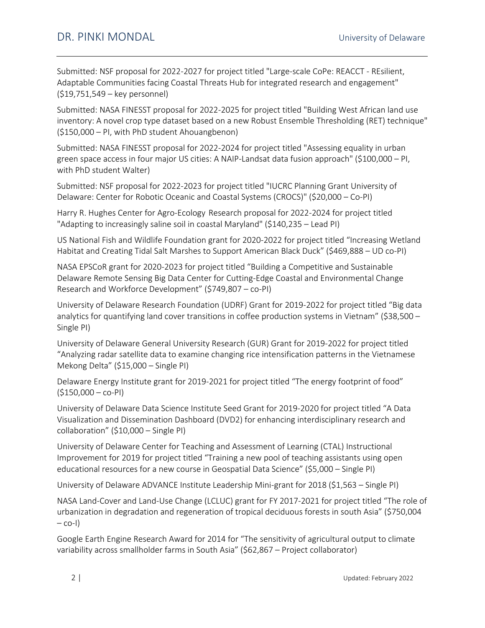Submitted: NSF proposal for 2022-2027 for project titled "Large-scale CoPe: REACCT - REsilient, Adaptable Communities facing Coastal Threats Hub for integrated research and engagement" (\$19,751,549 – key personnel)

Submitted: NASA FINESST proposal for 2022-2025 for project titled "Building West African land use inventory: A novel crop type dataset based on a new Robust Ensemble Thresholding (RET) technique" (\$150,000 – PI, with PhD student Ahouangbenon)

Submitted: NASA FINESST proposal for 2022-2024 for project titled "Assessing equality in urban green space access in four major US cities: A NAIP-Landsat data fusion approach" (\$100,000 – PI, with PhD student Walter)

Submitted: NSF proposal for 2022-2023 for project titled "IUCRC Planning Grant University of Delaware: Center for Robotic Oceanic and Coastal Systems (CROCS)" (\$20,000 – Co-PI)

Harry R. Hughes Center for Agro-Ecology Research proposal for 2022-2024 for project titled "Adapting to increasingly saline soil in coastal Maryland" (\$140,235 – Lead PI)

US National Fish and Wildlife Foundation grant for 2020-2022 for project titled "Increasing Wetland Habitat and Creating Tidal Salt Marshes to Support American Black Duck" (\$469,888 – UD co-PI)

NASA EPSCoR grant for 2020-2023 for project titled "Building a Competitive and Sustainable Delaware Remote Sensing Big Data Center for Cutting-Edge Coastal and Environmental Change Research and Workforce Development" (\$749,807 – co-PI)

University of Delaware Research Foundation (UDRF) Grant for 2019-2022 for project titled "Big data analytics for quantifying land cover transitions in coffee production systems in Vietnam" (\$38,500 – Single PI)

University of Delaware General University Research (GUR) Grant for 2019-2022 for project titled "Analyzing radar satellite data to examine changing rice intensification patterns in the Vietnamese Mekong Delta" (\$15,000 – Single PI)

Delaware Energy Institute grant for 2019-2021 for project titled "The energy footprint of food"  $(5150,000 - \text{co-PI})$ 

University of Delaware Data Science Institute Seed Grant for 2019-2020 for project titled "A Data Visualization and Dissemination Dashboard (DVD2) for enhancing interdisciplinary research and collaboration" (\$10,000 – Single PI)

University of Delaware Center for Teaching and Assessment of Learning (CTAL) Instructional Improvement for 2019 for project titled "Training a new pool of teaching assistants using open educational resources for a new course in Geospatial Data Science" (\$5,000 – Single PI)

University of Delaware ADVANCE Institute Leadership Mini-grant for 2018 (\$1,563 – Single PI)

NASA Land-Cover and Land-Use Change (LCLUC) grant for FY 2017-2021 for project titled "The role of urbanization in degradation and regeneration of tropical deciduous forests in south Asia" (\$750,004  $-$  co-I)

Google Earth Engine Research Award for 2014 for "The sensitivity of agricultural output to climate variability across smallholder farms in South Asia" (\$62,867 – Project collaborator)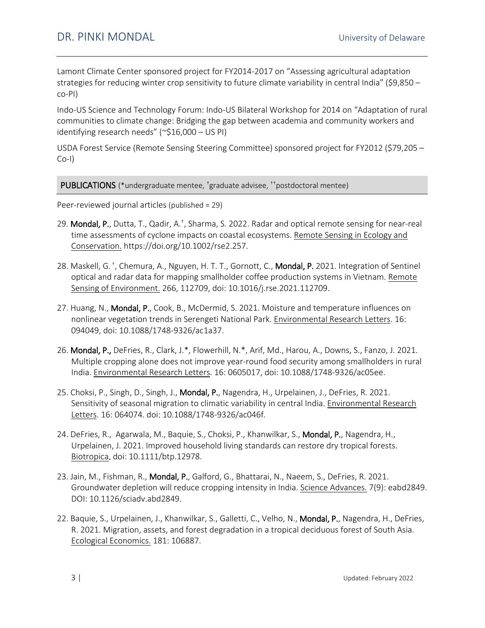Lamont Climate Center sponsored project for FY2014-2017 on "Assessing agricultural adaptation strategies for reducing winter crop sensitivity to future climate variability in central India" (\$9,850 co-PI)

Indo-US Science and Technology Forum: Indo-US Bilateral Workshop for 2014 on "Adaptation of rural communities to climate change: Bridging the gap between academia and community workers and identifying research needs" (~\$16,000 – US PI)

USDA Forest Service (Remote Sensing Steering Committee) sponsored project for FY2012 (\$79,205 – Co-I)

PUBLICATIONS (\*undergraduate mentee, <sup>†</sup>graduate advisee, <sup>††</sup>postdoctoral mentee)

Peer-reviewed journal articles (published = 29)

- 29. Mondal, P., Dutta, T., Qadir, A.<sup>+</sup>, Sharma, S. 2022. Radar and optical remote sensing for near-real time assessments of cyclone impacts on coastal ecosystems. Remote Sensing in Ecology and Conservation. https://doi.org/10.1002/rse2.257.
- 28. Maskell, G. †, Chemura, A., Nguyen, H. T. T., Gornott, C., **Mondal, P.** 2021. Integration of Sentinel optical and radar data for mapping smallholder coffee production systems in Vietnam. Remote Sensing of Environment. 266, 112709, doi: 10.1016/j.rse.2021.112709.
- 27. Huang, N., Mondal, P., Cook, B., McDermid, S. 2021. Moisture and temperature influences on nonlinear vegetation trends in Serengeti National Park. Environmental Research Letters. 16: 094049, doi: 10.1088/1748-9326/ac1a37.
- 26. Mondal, P., DeFries, R., Clark, J.\*, Flowerhill, N.\*, Arif, Md., Harou, A., Downs, S., Fanzo, J. 2021. Multiple cropping alone does not improve year-round food security among smallholders in rural India. Environmental Research Letters. 16: 0605017, doi: 10.1088/1748-9326/ac05ee.
- 25. Choksi, P., Singh, D., Singh, J., Mondal, P., Nagendra, H., Urpelainen, J., DeFries, R. 2021. Sensitivity of seasonal migration to climatic variability in central India. Environmental Research Letters. 16: 064074. doi: 10.1088/1748-9326/ac046f.
- 24. DeFries, R., Agarwala, M., Baquie, S., Choksi, P., Khanwilkar, S., Mondal, P., Nagendra, H., Urpelainen, J. 2021. Improved household living standards can restore dry tropical forests. Biotropica. doi: 10.1111/btp.12978.
- 23. Jain, M., Fishman, R., Mondal, P., Galford, G., Bhattarai, N., Naeem, S., DeFries, R. 2021. Groundwater depletion will reduce cropping intensity in India. Science Advances. 7(9): eabd2849. DOI: 10.1126/sciadv.abd2849.
- 22. Baquie, S., Urpelainen, J., Khanwilkar, S., Galletti, C., Velho, N., Mondal, P., Nagendra, H., DeFries, R. 2021. Migration, assets, and forest degradation in a tropical deciduous forest of South Asia. Ecological Economics. 181: 106887.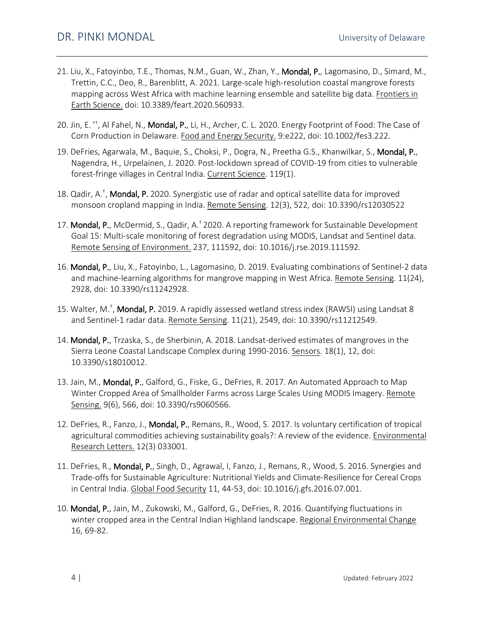- 21. Liu, X., Fatoyinbo, T.E., Thomas, N.M., Guan, W., Zhan, Y., Mondal, P., Lagomasino, D., Simard, M., Trettin, C.C., Deo, R., Barenblitt, A. 2021. Large-scale high-resolution coastal mangrove forests mapping across West Africa with machine learning ensemble and satellite big data. Frontiers in Earth Science. doi: 10.3389/feart.2020.560933.
- 20. Jin, E.<sup>++</sup>, Al Fahel, N., Mondal, P., Li, H., Archer, C. L. 2020. Energy Footprint of Food: The Case of Corn Production in Delaware. Food and Energy Security. 9:e222, doi: 10.1002/fes3.222.
- 19. DeFries, Agarwala, M., Baquie, S., Choksi, P., Dogra, N., Preetha G.S., Khanwilkar, S., Mondal, P., Nagendra, H., Urpelainen, J. 2020. Post-lockdown spread of COVID-19 from cities to vulnerable forest-fringe villages in Central India. Current Science. 119(1).
- 18. Qadir, A.<sup>+</sup>, Mondal, P. 2020. Synergistic use of radar and optical satellite data for improved monsoon cropland mapping in India. Remote Sensing. 12(3), 522, doi: 10.3390/rs12030522
- 17. Mondal, P., McDermid, S., Qadir, A.<sup>†</sup> 2020. A reporting framework for Sustainable Development Goal 15: Multi-scale monitoring of forest degradation using MODIS, Landsat and Sentinel data. Remote Sensing of Environment. 237, 111592, doi: 10.1016/j.rse.2019.111592.
- 16. Mondal, P., Liu, X., Fatoyinbo, L., Lagomasino, D. 2019. Evaluating combinations of Sentinel-2 data and machine-learning algorithms for mangrove mapping in West Africa. Remote Sensing. 11(24), 2928, doi: 10.3390/rs11242928.
- 15. Walter, M.<sup>+</sup>, Mondal, P. 2019. A rapidly assessed wetland stress index (RAWSI) using Landsat 8 and Sentinel-1 radar data. Remote Sensing. 11(21), 2549, doi: 10.3390/rs11212549.
- 14. Mondal, P., Trzaska, S., de Sherbinin, A. 2018. Landsat-derived estimates of mangroves in the Sierra Leone Coastal Landscape Complex during 1990-2016. Sensors. 18(1), 12, doi: 10.3390/s18010012.
- 13. Jain, M., Mondal, P., Galford, G., Fiske, G., DeFries, R. 2017. An Automated Approach to Map Winter Cropped Area of Smallholder Farms across Large Scales Using MODIS Imagery. Remote Sensing. 9(6), 566, doi: 10.3390/rs9060566.
- 12. DeFries, R., Fanzo, J., Mondal, P., Remans, R., Wood, S. 2017. Is voluntary certification of tropical agricultural commodities achieving sustainability goals?: A review of the evidence. Environmental Research Letters. 12(3) 033001.
- 11. DeFries, R., Mondal, P., Singh, D., Agrawal, I, Fanzo, J., Remans, R., Wood, S. 2016. Synergies and Trade-offs for Sustainable Agriculture: Nutritional Yields and Climate-Resilience for Cereal Crops in Central India. Global Food Security 11, 44-53. doi: 10.1016/j.gfs.2016.07.001.
- 10. Mondal, P., Jain, M., Zukowski, M., Galford, G., DeFries, R. 2016. Quantifying fluctuations in winter cropped area in the Central Indian Highland landscape. Regional Environmental Change 16, 69-82.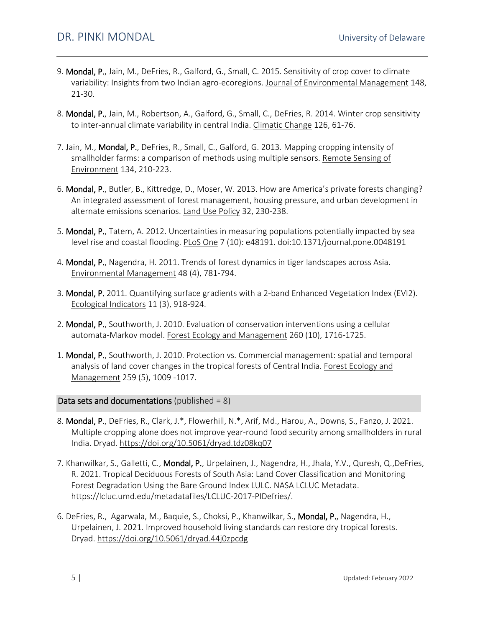- 9. Mondal, P., Jain, M., DeFries, R., Galford, G., Small, C. 2015. Sensitivity of crop cover to climate variability: Insights from two Indian agro-ecoregions. Journal of Environmental Management 148, 21-30.
- 8. Mondal, P., Jain, M., Robertson, A., Galford, G., Small, C., DeFries, R. 2014. Winter crop sensitivity to inter-annual climate variability in central India. Climatic Change 126, 61-76.
- 7. Jain, M., Mondal, P., DeFries, R., Small, C., Galford, G. 2013. Mapping cropping intensity of smallholder farms: a comparison of methods using multiple sensors. Remote Sensing of Environment 134, 210-223.
- 6. Mondal, P., Butler, B., Kittredge, D., Moser, W. 2013. How are America's private forests changing? An integrated assessment of forest management, housing pressure, and urban development in alternate emissions scenarios. Land Use Policy 32, 230-238.
- 5. Mondal, P., Tatem, A. 2012. Uncertainties in measuring populations potentially impacted by sea level rise and coastal flooding. PLoS One 7 (10): e48191. doi:10.1371/journal.pone.0048191
- 4. Mondal, P., Nagendra, H. 2011. Trends of forest dynamics in tiger landscapes across Asia. Environmental Management 48 (4), 781-794.
- 3. Mondal, P. 2011. Quantifying surface gradients with a 2-band Enhanced Vegetation Index (EVI2). Ecological Indicators 11 (3), 918-924.
- 2. Mondal, P., Southworth, J. 2010. Evaluation of conservation interventions using a cellular automata-Markov model. Forest Ecology and Management 260 (10), 1716-1725.
- 1. Mondal, P., Southworth, J. 2010. Protection vs. Commercial management: spatial and temporal analysis of land cover changes in the tropical forests of Central India. Forest Ecology and Management 259 (5), 1009 -1017.

Data sets and documentations (published  $= 8$ )

- 8. Mondal, P., DeFries, R., Clark, J.\*, Flowerhill, N.\*, Arif, Md., Harou, A., Downs, S., Fanzo, J. 2021. Multiple cropping alone does not improve year-round food security among smallholders in rural India. Dryad. <https://doi.org/10.5061/dryad.tdz08kq07>
- 7. Khanwilkar, S., Galletti, C., Mondal, P., Urpelainen, J., Nagendra, H., Jhala, Y.V., Quresh, Q., DeFries, R. 2021. Tropical Deciduous Forests of South Asia: Land Cover Classification and Monitoring Forest Degradation Using the Bare Ground Index LULC. NASA LCLUC Metadata. https://lcluc.umd.edu/metadatafiles/LCLUC-2017-PIDefries/.
- 6. DeFries, R., Agarwala, M., Baquie, S., Choksi, P., Khanwilkar, S., Mondal, P., Nagendra, H., Urpelainen, J. 2021. Improved household living standards can restore dry tropical forests. Dryad. <https://doi.org/10.5061/dryad.44j0zpcdg>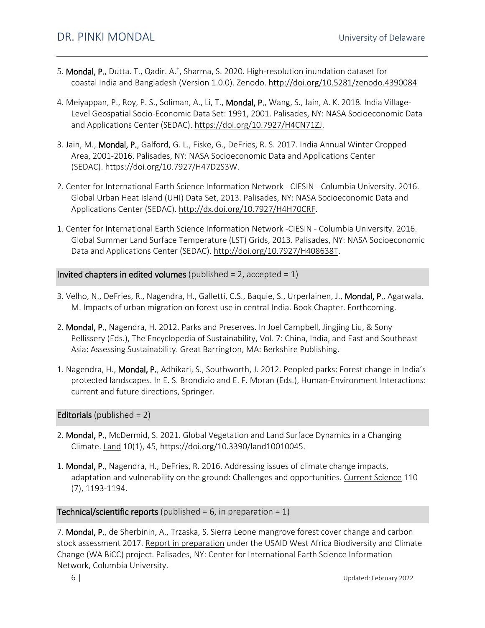- 5. Mondal, P., Dutta. T., Qadir. A.<sup>+</sup>, Sharma, S. 2020. High-resolution inundation dataset for coastal India and Bangladesh (Version 1.0.0). Zenodo. <http://doi.org/10.5281/zenodo.4390084>
- 4. Meiyappan, P., Roy, P. S., Soliman, A., Li, T., **Mondal, P.**, Wang, S., Jain, A. K. 2018. India Village-Level Geospatial Socio-Economic Data Set: 1991, 2001. Palisades, NY: NASA Socioeconomic Data and Applications Center (SEDAC)[. https://doi.org/10.7927/H4CN71ZJ.](https://doi.org/10.7927/H4CN71ZJ)
- 3. Jain, M., Mondal, P., Galford, G. L., Fiske, G., DeFries, R. S. 2017. India Annual Winter Cropped Area, 2001-2016. Palisades, NY: NASA Socioeconomic Data and Applications Center (SEDAC). [https://doi.org/10.7927/H47D2S3W.](https://doi.org/10.7927/H47D2S3W)
- 2. Center for International Earth Science Information Network CIESIN Columbia University. 2016. Global Urban Heat Island (UHI) Data Set, 2013. Palisades, NY: NASA Socioeconomic Data and Applications Center (SEDAC). [http://dx.doi.org/10.7927/H4H70CRF.](http://dx.doi.org/10.7927/H4H70CRF)
- 1. Center for International Earth Science Information Network -CIESIN Columbia University. 2016. Global Summer Land Surface Temperature (LST) Grids, 2013. Palisades, NY: NASA Socioeconomic Data and Applications Center (SEDAC). [http://doi.org/10.7927/H408638T.](http://doi.org/10.7927/H408638T)

**Invited chapters in edited volumes** (published = 2, accepted =  $1$ )

- 3. Velho, N., DeFries, R., Nagendra, H., Galletti, C.S., Baquie, S., Urperlainen, J., Mondal, P., Agarwala, M. Impacts of urban migration on forest use in central India. Book Chapter. Forthcoming.
- 2. Mondal, P., Nagendra, H. 2012. Parks and Preserves. In Joel Campbell, Jingjing Liu, & Sony Pellissery (Eds.), The Encyclopedia of Sustainability, Vol. 7: China, India, and East and Southeast Asia: Assessing Sustainability. Great Barrington, MA: Berkshire Publishing.
- 1. Nagendra, H., Mondal, P., Adhikari, S., Southworth, J. 2012. Peopled parks: Forest change in India's protected landscapes. In E. S. Brondizio and E. F. Moran (Eds.), Human-Environment Interactions: current and future directions, Springer.

Editorials (published  $= 2$ )

- 2. Mondal, P., McDermid, S. 2021. Global Vegetation and Land Surface Dynamics in a Changing Climate. Land 10(1), 45, [https://doi.org/10.3390/land10010045.](https://doi.org/10.3390/land10010045)
- 1. Mondal, P., Nagendra, H., DeFries, R. 2016. Addressing issues of climate change impacts, adaptation and vulnerability on the ground: Challenges and opportunities. Current Science 110 (7), 1193-1194.

**Technical/scientific reports** (published = 6, in preparation =  $1$ )

7. Mondal, P., de Sherbinin, A., Trzaska, S. Sierra Leone mangrove forest cover change and carbon stock assessment 2017. Report in preparation under the USAID West Africa Biodiversity and Climate Change (WA BiCC) project. Palisades, NY: Center for International Earth Science Information Network, Columbia University.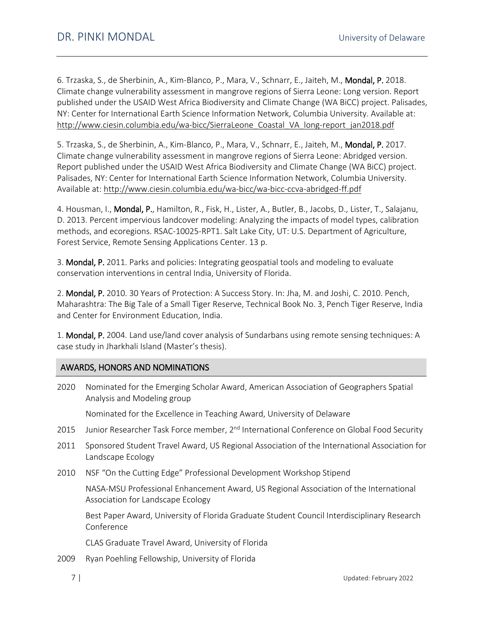6. Trzaska, S., de Sherbinin, A., Kim-Blanco, P., Mara, V., Schnarr, E., Jaiteh, M., Mondal, P. 2018. Climate change vulnerability assessment in mangrove regions of Sierra Leone: Long version. Report published under the USAID West Africa Biodiversity and Climate Change (WA BiCC) project. Palisades, NY: Center for International Earth Science Information Network, Columbia University. Available at: [http://www.ciesin.columbia.edu/wa-bicc/SierraLeone\\_Coastal\\_VA\\_long-report\\_jan2018.pdf](http://www.ciesin.columbia.edu/wa-bicc/SierraLeone_Coastal_VA_long-report_jan2018.pdf)

5. Trzaska, S., de Sherbinin, A., Kim-Blanco, P., Mara, V., Schnarr, E., Jaiteh, M., Mondal, P. 2017. Climate change vulnerability assessment in mangrove regions of Sierra Leone: Abridged version. Report published under the USAID West Africa Biodiversity and Climate Change (WA BiCC) project. Palisades, NY: Center for International Earth Science Information Network, Columbia University. Available at:<http://www.ciesin.columbia.edu/wa-bicc/wa-bicc-ccva-abridged-ff.pdf>

4. Housman, I., Mondal, P., Hamilton, R., Fisk, H., Lister, A., Butler, B., Jacobs, D., Lister, T., Salajanu, D. 2013. Percent impervious landcover modeling: Analyzing the impacts of model types, calibration methods, and ecoregions. RSAC-10025-RPT1. Salt Lake City, UT: U.S. Department of Agriculture, Forest Service, Remote Sensing Applications Center. 13 p.

3. Mondal, P. 2011. Parks and policies: Integrating geospatial tools and modeling to evaluate conservation interventions in central India, University of Florida.

2. Mondal, P. 2010. 30 Years of Protection: A Success Story. In: Jha, M. and Joshi, C. 2010. Pench, Maharashtra: The Big Tale of a Small Tiger Reserve, Technical Book No. 3, Pench Tiger Reserve, India and Center for Environment Education, India.

1. Mondal, P. 2004. Land use/land cover analysis of Sundarbans using remote sensing techniques: A case study in Jharkhali Island (Master's thesis).

# AWARDS, HONORS AND NOMINATIONS

2020 Nominated for the Emerging Scholar Award, American Association of Geographers Spatial Analysis and Modeling group

Nominated for the Excellence in Teaching Award, University of Delaware

- 2015 Junior Researcher Task Force member, 2<sup>nd</sup> International Conference on Global Food Security
- 2011 Sponsored Student Travel Award, US Regional Association of the International Association for Landscape Ecology
- 2010 NSF "On the Cutting Edge" Professional Development Workshop Stipend

NASA-MSU Professional Enhancement Award, US Regional Association of the International Association for Landscape Ecology

Best Paper Award, University of Florida Graduate Student Council Interdisciplinary Research Conference

CLAS Graduate Travel Award, University of Florida

2009 Ryan Poehling Fellowship, University of Florida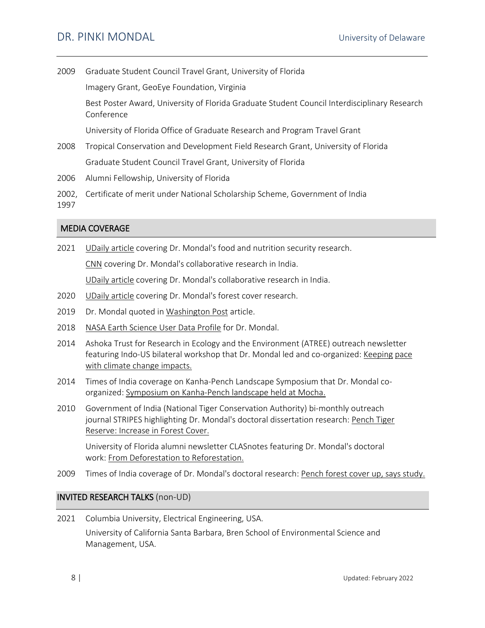2009 Graduate Student Council Travel Grant, University of Florida

Imagery Grant, GeoEye Foundation, Virginia

Best Poster Award, University of Florida Graduate Student Council Interdisciplinary Research Conference

University of Florida Office of Graduate Research and Program Travel Grant

- 2008 Tropical Conservation and Development Field Research Grant, University of Florida Graduate Student Council Travel Grant, University of Florida
- 2006 Alumni Fellowship, University of Florida
- 2002, Certificate of merit under National Scholarship Scheme, Government of India

1997

#### MEDIA COVERAGE

2021 [UDaily article](https://www.udel.edu/udaily/2021/august/india-smallholder-farmers-food-security-pinki-mondal/) covering Dr. Mondal's food and nutrition security research.

[CNN](https://www.cnn.com/2021/02/24/asia/india-groundwater-study-intl-hnk-scn/index.html) covering Dr. Mondal's collaborative research in India.

[UDaily article](https://www.udel.edu/udaily/2021/february/india-groundwater-depletion-agriculture-winter-crops/) covering Dr. Mondal's collaborative research in India.

- 2020 [UDaily article](https://www.udel.edu/udaily/2020/march/Remote-sensing-to-assess-forest-health/) covering Dr. Mondal's forest cover research.
- 2019 Dr. Mondal quoted i[n Washington Post](https://www.washingtonpost.com/climate-environment/2019/10/29/scientists-triple-their-estimates-number-people-threatened-by-rising-seas/) article.
- 2018 [NASA Earth Science User Data Profile](https://earthdata.nasa.gov/user-resources/who-uses-nasa-earth-science-data-user-profiles/user-profile-dr-pinki-mondal) for Dr. Mondal.
- 2014 Ashoka Trust for Research in Ecology and the Environment (ATREE) outreach newsletter featuring Indo-US bilateral workshop that Dr. Mondal led and co-organized: [Keeping](http://atree.org/newsletters/atree_branches/abv11_1/abv11_1.html) pace [with climate change impacts.](http://atree.org/newsletters/atree_branches/abv11_1/abv11_1.html)
- 2014 Times of India coverage on Kanha-Pench Landscape Symposium that Dr. Mondal coorganized: [Symposium on Kanha-Pench landscape held at Mocha.](http://timesofindia.indiatimes.com/city/bhopal/Symposium-on-Kanha-Pench-landscape-held-at-Mocha/articleshow/30739099.cms)
- 2010 Government of India (National Tiger Conservation Authority) bi-monthly outreach journal STRIPES highlighting Dr. Mondal's doctoral dissertation research: [Pench Tiger](https://aztecpanthera.in/assets/uploads/stripes/Vol1_Issue4_2010.pdf)  [Reserve: Increase in Forest Cover.](https://aztecpanthera.in/assets/uploads/stripes/Vol1_Issue4_2010.pdf)

University of Florida alumni newsletter CLASnotes featuring Dr. Mondal's doctoral work: [From Deforestation to Reforestation.](https://legacy.clas.ufl.edu/alumni/alumninotes/2010spring/deforestation.html)

2009 Times of India coverage of Dr. Mondal's doctoral research: [Pench forest cover up, says study.](https://timesofindia.indiatimes.com/city/nagpur/Pench-forest-cover-up-says-study/articleshow/4926194.cms)

### INVITED RESEARCH TALKS (non-UD)

2021 Columbia University, Electrical Engineering, USA. University of California Santa Barbara, Bren School of Environmental Science and Management, USA.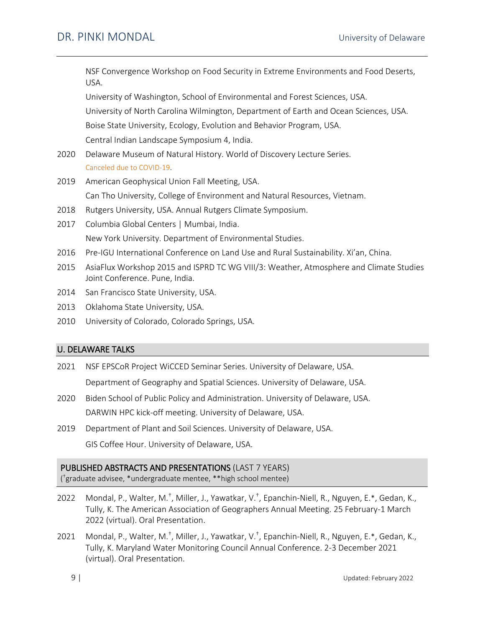NSF Convergence Workshop on Food Security in Extreme Environments and Food Deserts, USA. University of Washington, School of Environmental and Forest Sciences, USA. University of North Carolina Wilmington, Department of Earth and Ocean Sciences, USA. Boise State University, Ecology, Evolution and Behavior Program, USA. Central Indian Landscape Symposium 4, India. 2020 Delaware Museum of Natural History. World of Discovery Lecture Series. Canceled due to COVID-19. 2019 American Geophysical Union Fall Meeting, USA. Can Tho University, College of Environment and Natural Resources, Vietnam. 2018 Rutgers University, USA. Annual Rutgers Climate Symposium. 2017 Columbia Global Centers | Mumbai, India. New York University. Department of Environmental Studies. 2016 Pre-IGU International Conference on Land Use and Rural Sustainability. Xi'an, China. 2015 AsiaFlux Workshop 2015 and ISPRD TC WG VIII/3: Weather, Atmosphere and Climate Studies Joint Conference. Pune, India. 2014 San Francisco State University, USA. 2013 Oklahoma State University, USA. 2010 University of Colorado, Colorado Springs, USA. U. DELAWARE TALKS 2021 NSF EPSCoR Project WiCCED Seminar Series. University of Delaware, USA.

Department of Geography and Spatial Sciences. University of Delaware, USA.

- 2020 Biden School of Public Policy and Administration. University of Delaware, USA. DARWIN HPC kick-off meeting. University of Delaware, USA.
- 2019 Department of Plant and Soil Sciences. University of Delaware, USA. GIS Coffee Hour. University of Delaware, USA.

### PUBLISHED ABSTRACTS AND PRESENTATIONS (LAST 7 YEARS)

( †graduate advisee, \*undergraduate mentee, \*\*high school mentee)

- 2022 Mondal, P., Walter, M.<sup>†</sup>, Miller, J., Yawatkar, V.<sup>†</sup>, Epanchin-Niell, R., Nguyen, E.\*, Gedan, K., Tully, K. The American Association of Geographers Annual Meeting. 25 February-1 March 2022 (virtual). Oral Presentation.
- 2021 Mondal, P., Walter, M.<sup>†</sup>, Miller, J., Yawatkar, V.<sup>†</sup>, Epanchin-Niell, R., Nguyen, E.\*, Gedan, K., Tully, K. Maryland Water Monitoring Council Annual Conference. 2-3 December 2021 (virtual). Oral Presentation.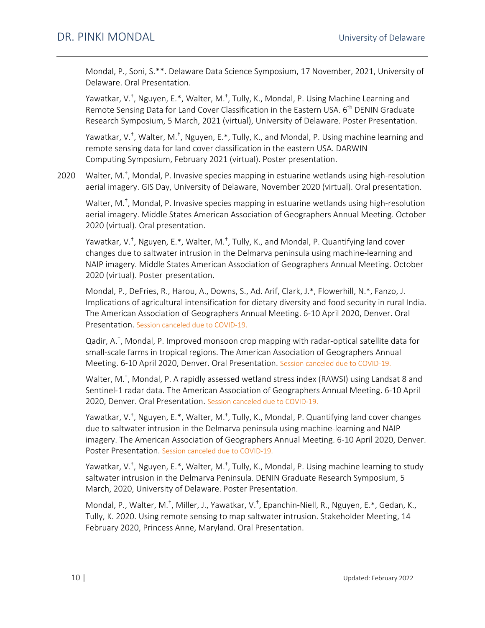Mondal, P., Soni, S.\*\*. Delaware Data Science Symposium, 17 November, 2021, University of Delaware. Oral Presentation.

Yawatkar, V.<sup>+</sup>, Nguyen, E.\*, Walter, M.<sup>+</sup>, Tully, K., Mondal, P. Using Machine Learning and Remote Sensing Data for Land Cover Classification in the Eastern USA. 6<sup>th</sup> DENIN Graduate Research Symposium, 5 March, 2021 (virtual), University of Delaware. Poster Presentation.

Yawatkar, V.<sup>+</sup>, Walter, M.<sup>+</sup>, Nguyen, E.\*, Tully, K., and Mondal, P. Using machine learning and remote sensing data for land cover classification in the eastern USA. DARWIN Computing Symposium, February 2021 (virtual). Poster presentation.

2020 Walter, M.<sup>†</sup>, Mondal, P. Invasive species mapping in estuarine wetlands using high-resolution aerial imagery. GIS Day, University of Delaware, November 2020 (virtual). Oral presentation.

Walter, M.<sup>+</sup>, Mondal, P. Invasive species mapping in estuarine wetlands using high-resolution aerial imagery. Middle States American Association of Geographers Annual Meeting. October 2020 (virtual). Oral presentation.

Yawatkar, V.<sup>+</sup>, Nguyen, E.\*, Walter, M.<sup>+</sup>, Tully, K., and Mondal, P. Quantifying land cover changes due to saltwater intrusion in the Delmarva peninsula using machine-learning and NAIP imagery. Middle States American Association of Geographers Annual Meeting. October 2020 (virtual). Poster presentation.

Mondal, P., DeFries, R., Harou, A., Downs, S., Ad. Arif, Clark, J.\*, Flowerhill, N.\*, Fanzo, J. Implications of agricultural intensification for dietary diversity and food security in rural India. The American Association of Geographers Annual Meeting. 6-10 April 2020, Denver. Oral Presentation. Session canceled due to COVID-19.

Qadir, A.† , Mondal, P. Improved monsoon crop mapping with radar-optical satellite data for small-scale farms in tropical regions. The American Association of Geographers Annual Meeting. 6-10 April 2020, Denver. Oral Presentation. Session canceled due to COVID-19.

Walter, M.<sup>+</sup>, Mondal, P. A rapidly assessed wetland stress index (RAWSI) using Landsat 8 and Sentinel-1 radar data. The American Association of Geographers Annual Meeting. 6-10 April 2020, Denver. Oral Presentation. Session canceled due to COVID-19.

Yawatkar, V.<sup>+</sup>, Nguyen, E.\*, Walter, M.<sup>+</sup>, Tully, K., Mondal, P. Quantifying land cover changes due to saltwater intrusion in the Delmarva peninsula using machine-learning and NAIP imagery. The American Association of Geographers Annual Meeting. 6-10 April 2020, Denver. Poster Presentation. Session canceled due to COVID-19.

Yawatkar, V.<sup>+</sup>, Nguyen, E.\*, Walter, M.<sup>+</sup>, Tully, K., Mondal, P. Using machine learning to study saltwater intrusion in the Delmarva Peninsula. DENIN Graduate Research Symposium, 5 March, 2020, University of Delaware. Poster Presentation.

Mondal, P., Walter, M.<sup>+</sup>, Miller, J., Yawatkar, V.<sup>+</sup>, Epanchin-Niell, R., Nguyen, E.\*, Gedan, K., Tully, K. 2020. Using remote sensing to map saltwater intrusion. Stakeholder Meeting, 14 February 2020, Princess Anne, Maryland. Oral Presentation.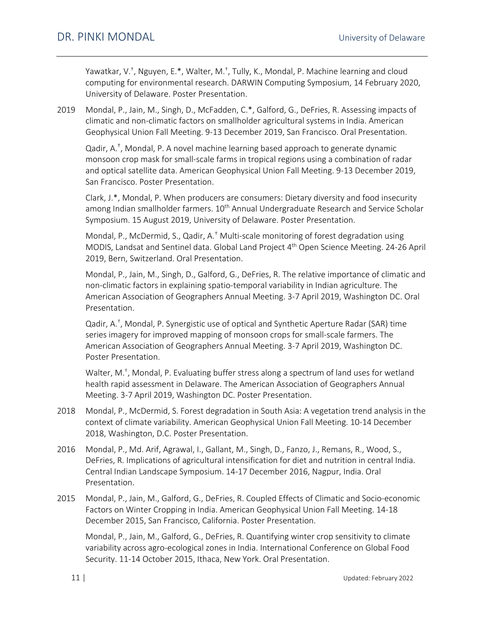Yawatkar, V.<sup>+</sup>, Nguyen, E.\*, Walter, M.<sup>+</sup>, Tully, K., Mondal, P. Machine learning and cloud computing for environmental research. DARWIN Computing Symposium, 14 February 2020, University of Delaware. Poster Presentation.

2019 Mondal, P., Jain, M., Singh, D., McFadden, C.\*, Galford, G., DeFries, R. Assessing impacts of climatic and non-climatic factors on smallholder agricultural systems in India. American Geophysical Union Fall Meeting. 9-13 December 2019, San Francisco. Oral Presentation.

Qadir, A.† , Mondal, P. A novel machine learning based approach to generate dynamic monsoon crop mask for small-scale farms in tropical regions using a combination of radar and optical satellite data. American Geophysical Union Fall Meeting. 9-13 December 2019, San Francisco. Poster Presentation.

Clark, J.\*, Mondal, P. When producers are consumers: Dietary diversity and food insecurity among Indian smallholder farmers. 10<sup>th</sup> Annual Undergraduate Research and Service Scholar Symposium. 15 August 2019, University of Delaware. Poster Presentation.

Mondal, P., McDermid, S., Qadir, A.† Multi-scale monitoring of forest degradation using MODIS, Landsat and Sentinel data. Global Land Project 4<sup>th</sup> Open Science Meeting. 24-26 April 2019, Bern, Switzerland. Oral Presentation.

Mondal, P., Jain, M., Singh, D., Galford, G., DeFries, R. The relative importance of climatic and non-climatic factors in explaining spatio-temporal variability in Indian agriculture. The American Association of Geographers Annual Meeting. 3-7 April 2019, Washington DC. Oral Presentation.

Qadir, A.† , Mondal, P[. Synergistic use of optical and Synthetic Aperture Radar \(SAR\) time](https://aag.secure-abstracts.com/AAG%20Annual%20Meeting%202019/abstracts-gallery/22094)  [series imagery for improved mapping of monsoon crops for small-scale farmers.](https://aag.secure-abstracts.com/AAG%20Annual%20Meeting%202019/abstracts-gallery/22094) The American Association of Geographers Annual Meeting. 3-7 April 2019, Washington DC. Poster Presentation.

Walter, M.<sup>+</sup>, Mondal, P. Evaluating buffer stress along a spectrum of land uses for wetland [health rapid assessment in Delaware.](https://aag.secure-abstracts.com/AAG%20Annual%20Meeting%202019/abstracts-gallery/22850) The American Association of Geographers Annual Meeting. 3-7 April 2019, Washington DC. Poster Presentation.

- 2018 Mondal, P., McDermid, S. Forest degradation in South Asia: A vegetation trend analysis in the context of climate variability. American Geophysical Union Fall Meeting. 10-14 December 2018, Washington, D.C. Poster Presentation.
- 2016 Mondal, P., Md. Arif, Agrawal, I., Gallant, M., Singh, D., Fanzo, J., Remans, R., Wood, S., DeFries, R. Implications of agricultural intensification for diet and nutrition in central India. Central Indian Landscape Symposium. 14-17 December 2016, Nagpur, India. Oral Presentation.
- 2015 Mondal, P., Jain, M., Galford, G., DeFries, R. Coupled Effects of Climatic and Socio-economic Factors on Winter Cropping in India. American Geophysical Union Fall Meeting. 14-18 December 2015, San Francisco, California. Poster Presentation.

Mondal, P., Jain, M., Galford, G., DeFries, R. Quantifying winter crop sensitivity to climate variability across agro-ecological zones in India. International Conference on Global Food Security. 11-14 October 2015, Ithaca, New York. Oral Presentation.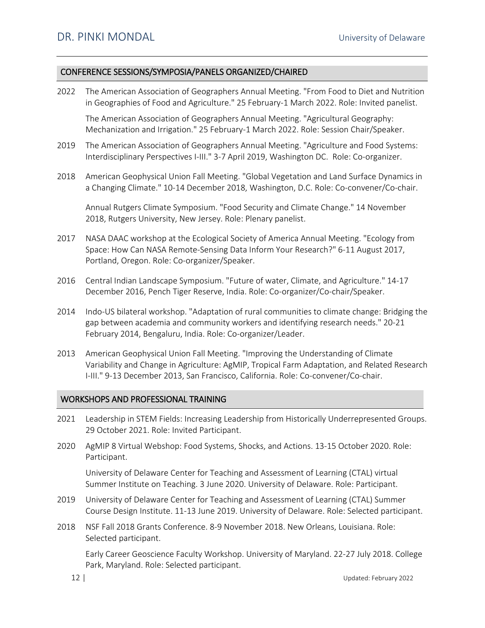#### CONFERENCE SESSIONS/SYMPOSIA/PANELS ORGANIZED/CHAIRED

2022 The American Association of Geographers Annual Meeting. "From Food to Diet and Nutrition in Geographies of Food and Agriculture." 25 February-1 March 2022. Role: Invited panelist.

The American Association of Geographers Annual Meeting. "Agricultural Geography: Mechanization and Irrigation." 25 February-1 March 2022. Role: Session Chair/Speaker.

- 2019 The American Association of Geographers Annual Meeting. "Agriculture and Food Systems: Interdisciplinary Perspectives I-III." 3-7 April 2019, Washington DC. Role: Co-organizer.
- 2018 American Geophysical Union Fall Meeting. "Global Vegetation and Land Surface Dynamics in a Changing Climate." 10-14 December 2018, Washington, D.C. Role: Co-convener/Co-chair.

Annual Rutgers Climate Symposium. "Food Security and Climate Change." 14 November 2018, Rutgers University, New Jersey. Role: Plenary panelist.

- 2017 NASA DAAC workshop at the Ecological Society of America Annual Meeting. "Ecology from Space: How Can NASA Remote-Sensing Data Inform Your Research?" 6-11 August 2017, Portland, Oregon. Role: Co-organizer/Speaker.
- 2016 Central Indian Landscape Symposium. "Future of water, Climate, and Agriculture." 14-17 December 2016, Pench Tiger Reserve, India. Role: Co-organizer/Co-chair/Speaker.
- 2014 Indo-US bilateral workshop. "Adaptation of rural communities to climate change: Bridging the gap between academia and community workers and identifying research needs." 20-21 February 2014, Bengaluru, India. Role: Co-organizer/Leader.
- 2013 American Geophysical Union Fall Meeting. "Improving the Understanding of Climate Variability and Change in Agriculture: AgMIP, Tropical Farm Adaptation, and Related Research I-III." 9-13 December 2013, San Francisco, California. Role: Co-convener/Co-chair.

#### WORKSHOPS AND PROFESSIONAL TRAINING

- 2021 Leadership in STEM Fields: Increasing Leadership from Historically Underrepresented Groups. 29 October 2021. Role: Invited Participant.
- 2020 AgMIP 8 Virtual Webshop: Food Systems, Shocks, and Actions. 13-15 October 2020. Role: Participant.

University of Delaware Center for Teaching and Assessment of Learning (CTAL) virtual Summer Institute on Teaching. 3 June 2020. University of Delaware. Role: Participant.

- 2019 University of Delaware Center for Teaching and Assessment of Learning (CTAL) Summer Course Design Institute. 11-13 June 2019. University of Delaware. Role: Selected participant.
- 2018 NSF Fall 2018 Grants Conference. 8-9 November 2018. New Orleans, Louisiana. Role: Selected participant.

Early Career Geoscience Faculty Workshop. University of Maryland. 22-27 July 2018. College Park, Maryland. Role: Selected participant.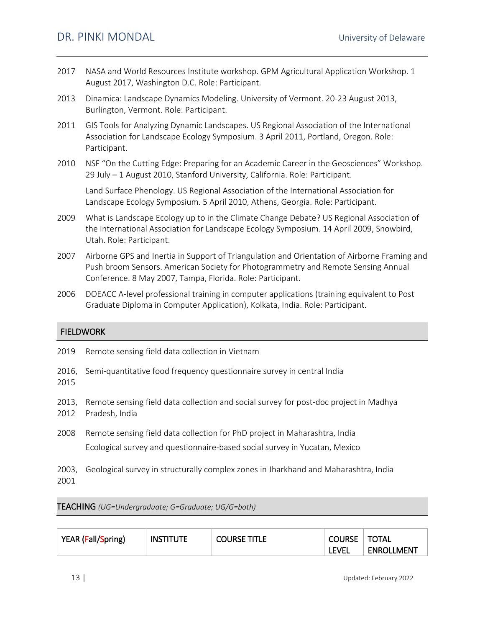- 2017 NASA and World Resources Institute workshop. GPM Agricultural Application Workshop. 1 August 2017, Washington D.C. Role: Participant.
- 2013 Dinamica: Landscape Dynamics Modeling. University of Vermont. 20-23 August 2013, Burlington, Vermont. Role: Participant.
- 2011 GIS Tools for Analyzing Dynamic Landscapes. US Regional Association of the International Association for Landscape Ecology Symposium. 3 April 2011, Portland, Oregon. Role: Participant.
- 2010 NSF "On the Cutting Edge: Preparing for an Academic Career in the Geosciences" Workshop. 29 July – 1 August 2010, Stanford University, California. Role: Participant.

Land Surface Phenology. US Regional Association of the International Association for Landscape Ecology Symposium. 5 April 2010, Athens, Georgia. Role: Participant.

- 2009 What is Landscape Ecology up to in the Climate Change Debate? US Regional Association of the International Association for Landscape Ecology Symposium. 14 April 2009, Snowbird, Utah. Role: Participant.
- 2007 Airborne GPS and Inertia in Support of Triangulation and Orientation of Airborne Framing and Push broom Sensors. American Society for Photogrammetry and Remote Sensing Annual Conference. 8 May 2007, Tampa, Florida. Role: Participant.
- 2006 DOEACC A-level professional training in computer applications (training equivalent to Post Graduate Diploma in Computer Application), Kolkata, India. Role: Participant.

### FIELDWORK

| 2019 | Remote sensing field data collection in Vietnam                                                                                                          |
|------|----------------------------------------------------------------------------------------------------------------------------------------------------------|
| 2015 | 2016, Semi-quantitative food frequency questionnaire survey in central India                                                                             |
| 2012 | 2013, Remote sensing field data collection and social survey for post-doc project in Madhya<br>Pradesh, India                                            |
| 2008 | Remote sensing field data collection for PhD project in Maharashtra, India<br>Ecological survey and questionnaire-based social survey in Yucatan, Mexico |
|      |                                                                                                                                                          |

2003, Geological survey in structurally complex zones in Jharkhand and Maharashtra, India 2001

TEACHING *(UG=Undergraduate; G=Graduate; UG/G=both)*

| YEAR (Fall/Spring) | <b>INSTITUTE</b> | <b>COURSE TITLE</b> | <b>COURSE</b> | <b>TOTAL</b>      |
|--------------------|------------------|---------------------|---------------|-------------------|
|                    |                  |                     | Level         | <b>ENROLLMENT</b> |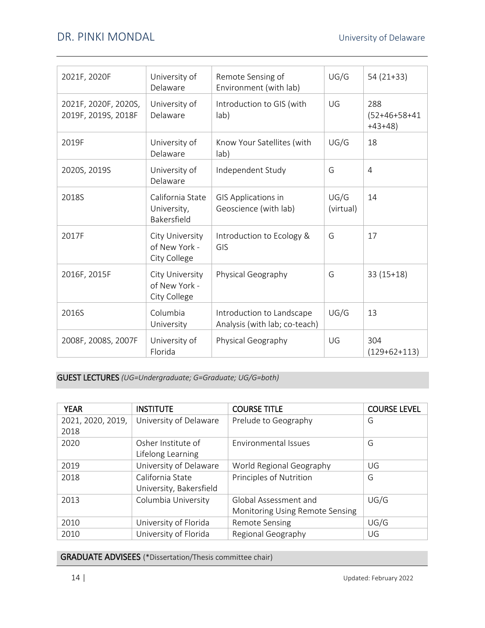| 2021F, 2020F                                | University of<br>Delaware                        | Remote Sensing of<br>Environment (with lab)                | UG/G              | $54(21+33)$                        |
|---------------------------------------------|--------------------------------------------------|------------------------------------------------------------|-------------------|------------------------------------|
| 2021F, 2020F, 2020S,<br>2019F, 2019S, 2018F | University of<br>Delaware                        | Introduction to GIS (with<br>lab)                          | UG                | 288<br>$(52+46+58+41)$<br>$+43+48$ |
| 2019F                                       | University of<br>Delaware                        | Know Your Satellites (with<br>lab)                         | UG/G              | 18                                 |
| 2020S, 2019S                                | University of<br>Delaware                        | Independent Study                                          | G                 | $\overline{4}$                     |
| 2018S                                       | California State<br>University,<br>Bakersfield   | GIS Applications in<br>Geoscience (with lab)               | UG/G<br>(virtual) | 14                                 |
| 2017F                                       | City University<br>of New York -<br>City College | Introduction to Ecology &<br>GIS                           | G                 | 17                                 |
| 2016F, 2015F                                | City University<br>of New York -<br>City College | Physical Geography                                         | G                 | $33(15+18)$                        |
| 2016S                                       | Columbia<br>University                           | Introduction to Landscape<br>Analysis (with lab; co-teach) | UG/G              | 13                                 |
| 2008F, 2008S, 2007F                         | University of<br>Florida                         | Physical Geography                                         | UG                | 304<br>$(129+62+113)$              |

GUEST LECTURES *(UG=Undergraduate; G=Graduate; UG/G=both)*

| <b>YEAR</b>       | <b>INSTITUTE</b>        | <b>COURSE TITLE</b>             | <b>COURSE LEVEL</b> |
|-------------------|-------------------------|---------------------------------|---------------------|
| 2021, 2020, 2019, | University of Delaware  | Prelude to Geography            | G                   |
| 2018              |                         |                                 |                     |
| 2020              | Osher Institute of      | Environmental Issues            | G                   |
|                   | Lifelong Learning       |                                 |                     |
| 2019              | University of Delaware  | World Regional Geography        | UG                  |
| 2018              | California State        | Principles of Nutrition         | G                   |
|                   | University, Bakersfield |                                 |                     |
| 2013              | Columbia University     | Global Assessment and           | UG/G                |
|                   |                         | Monitoring Using Remote Sensing |                     |
| 2010              | University of Florida   | <b>Remote Sensing</b>           | UG/G                |
| 2010              | University of Florida   | Regional Geography              | UG                  |

GRADUATE ADVISEES (\*Dissertation/Thesis committee chair)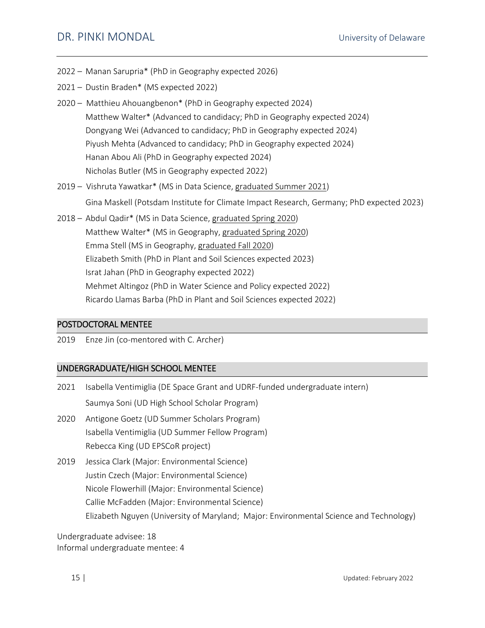- 2022 Manan Sarupria\* (PhD in Geography expected 2026)
- 2021 Dustin Braden\* (MS expected 2022)
- 2020 Matthieu Ahouangbenon\* (PhD in Geography expected 2024) Matthew Walter\* (Advanced to candidacy; PhD in Geography expected 2024) Dongyang Wei (Advanced to candidacy; PhD in Geography expected 2024) Piyush Mehta (Advanced to candidacy; PhD in Geography expected 2024) Hanan Abou Ali (PhD in Geography expected 2024) Nicholas Butler (MS in Geography expected 2022)
- 2019 Vishruta Yawatkar\* (MS in Data Science, graduated Summer 2021) Gina Maskell (Potsdam Institute for Climate Impact Research, Germany; PhD expected 2023)
- 2018 Abdul Qadir\* (MS in Data Science, graduated Spring 2020) Matthew Walter\* (MS in Geography, graduated Spring 2020) Emma Stell (MS in Geography, graduated Fall 2020) Elizabeth Smith (PhD in Plant and Soil Sciences expected 2023) Israt Jahan (PhD in Geography expected 2022) Mehmet Altingoz (PhD in Water Science and Policy expected 2022) Ricardo Llamas Barba (PhD in Plant and Soil Sciences expected 2022)

## POSTDOCTORAL MENTEE

2019 Enze Jin (co-mentored with C. Archer)

# UNDERGRADUATE/HIGH SCHOOL MENTEE

| 2021 | Isabella Ventimiglia (DE Space Grant and UDRF-funded undergraduate intern)                                                                                                                                                                                                                  |
|------|---------------------------------------------------------------------------------------------------------------------------------------------------------------------------------------------------------------------------------------------------------------------------------------------|
|      | Saumya Soni (UD High School Scholar Program)                                                                                                                                                                                                                                                |
| 2020 | Antigone Goetz (UD Summer Scholars Program)<br>Isabella Ventimiglia (UD Summer Fellow Program)<br>Rebecca King (UD EPSCoR project)                                                                                                                                                          |
| 2019 | Jessica Clark (Major: Environmental Science)<br>Justin Czech (Major: Environmental Science)<br>Nicole Flowerhill (Major: Environmental Science)<br>Callie McFadden (Major: Environmental Science)<br>Elizabeth Nguyen (University of Maryland; Major: Environmental Science and Technology) |

Undergraduate advisee: 18 Informal undergraduate mentee: 4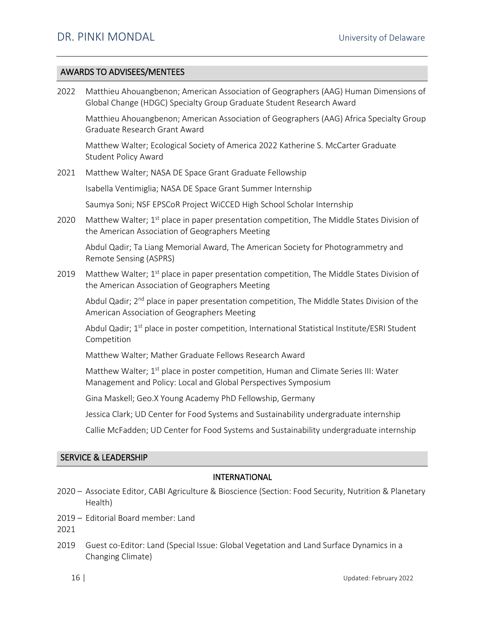# AWARDS TO ADVISEES/MENTEES

| 2022 | Matthieu Ahouangbenon; American Association of Geographers (AAG) Human Dimensions of<br>Global Change (HDGC) Specialty Group Graduate Student Research Award       |
|------|--------------------------------------------------------------------------------------------------------------------------------------------------------------------|
|      | Matthieu Ahouangbenon; American Association of Geographers (AAG) Africa Specialty Group<br>Graduate Research Grant Award                                           |
|      | Matthew Walter; Ecological Society of America 2022 Katherine S. McCarter Graduate<br><b>Student Policy Award</b>                                                   |
| 2021 | Matthew Walter; NASA DE Space Grant Graduate Fellowship                                                                                                            |
|      | Isabella Ventimiglia; NASA DE Space Grant Summer Internship                                                                                                        |
|      | Saumya Soni; NSF EPSCoR Project WiCCED High School Scholar Internship                                                                                              |
| 2020 | Matthew Walter; 1 <sup>st</sup> place in paper presentation competition, The Middle States Division of<br>the American Association of Geographers Meeting          |
|      | Abdul Qadir; Ta Liang Memorial Award, The American Society for Photogrammetry and<br>Remote Sensing (ASPRS)                                                        |
| 2019 | Matthew Walter; 1 <sup>st</sup> place in paper presentation competition, The Middle States Division of<br>the American Association of Geographers Meeting          |
|      | Abdul Qadir; 2 <sup>nd</sup> place in paper presentation competition, The Middle States Division of the<br>American Association of Geographers Meeting             |
|      | Abdul Qadir; 1 <sup>st</sup> place in poster competition, International Statistical Institute/ESRI Student<br>Competition                                          |
|      | Matthew Walter; Mather Graduate Fellows Research Award                                                                                                             |
|      | Matthew Walter; 1 <sup>st</sup> place in poster competition, Human and Climate Series III: Water<br>Management and Policy: Local and Global Perspectives Symposium |
|      | Gina Maskell; Geo.X Young Academy PhD Fellowship, Germany                                                                                                          |
|      | Jessica Clark; UD Center for Food Systems and Sustainability undergraduate internship                                                                              |
|      | Callie McFadden; UD Center for Food Systems and Sustainability undergraduate internship                                                                            |

# SERVICE & LEADERSHIP

### INTERNATIONAL

- 2020 Associate Editor, CABI Agriculture & Bioscience (Section: Food Security, Nutrition & Planetary Health)
- 2019 Editorial Board member: Land

2021

2019 Guest co-Editor: Land (Special Issue: Global Vegetation and Land Surface Dynamics in a Changing Climate)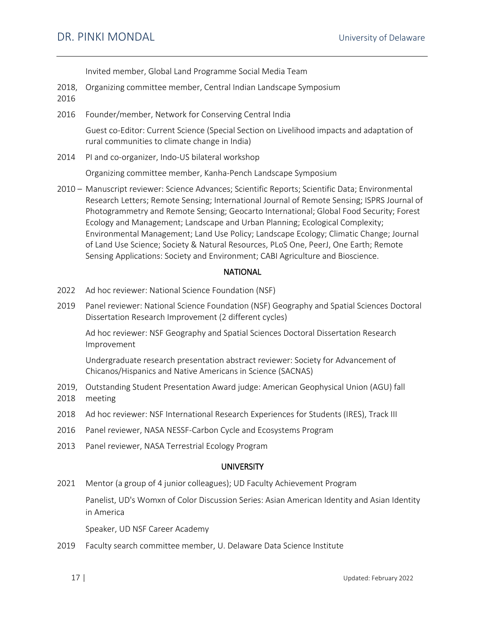Invited member, Global Land Programme Social Media Team

- 2018, Organizing committee member, Central Indian Landscape Symposium 2016
- 2016 Founder/member, Network for Conserving Central India

Guest co-Editor: Current Science (Special Section on Livelihood impacts and adaptation of rural communities to climate change in India)

2014 PI and co-organizer, Indo-US bilateral workshop

Organizing committee member, Kanha-Pench Landscape Symposium

2010 – Manuscript reviewer: Science Advances; Scientific Reports; Scientific Data; Environmental Research Letters; Remote Sensing; International Journal of Remote Sensing; ISPRS Journal of Photogrammetry and Remote Sensing; Geocarto International; Global Food Security; Forest Ecology and Management; Landscape and Urban Planning; Ecological Complexity; Environmental Management; Land Use Policy; Landscape Ecology; Climatic Change; Journal of Land Use Science; Society & Natural Resources, PLoS One, PeerJ, One Earth; Remote Sensing Applications: Society and Environment; CABI Agriculture and Bioscience.

#### **NATIONAL**

- 2022 Ad hoc reviewer: National Science Foundation (NSF)
- 2019 Panel reviewer: National Science Foundation (NSF) Geography and Spatial Sciences Doctoral Dissertation Research Improvement (2 different cycles)

Ad hoc reviewer: NSF Geography and Spatial Sciences Doctoral Dissertation Research Improvement

Undergraduate research presentation abstract reviewer: Society for Advancement of Chicanos/Hispanics and Native Americans in Science (SACNAS)

- 2019, Outstanding Student Presentation Award judge: American Geophysical Union (AGU) fall 2018 meeting
- 2018 Ad hoc reviewer: NSF International Research Experiences for Students (IRES), Track III
- 2016 Panel reviewer, NASA NESSF-Carbon Cycle and Ecosystems Program
- 2013 Panel reviewer, NASA Terrestrial Ecology Program

#### **UNIVERSITY**

2021 Mentor (a group of 4 junior colleagues); UD Faculty Achievement Program

Panelist, UD's Womxn of Color Discussion Series: Asian American Identity and Asian Identity in America

Speaker, UD NSF Career Academy

2019 Faculty search committee member, U. Delaware Data Science Institute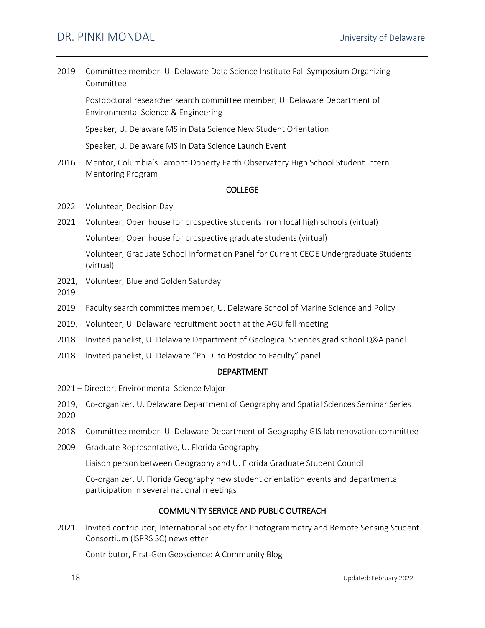# DR. PINKI MONDAL University of Delaware

| 2019          | Committee member, U. Delaware Data Science Institute Fall Symposium Organizing<br>Committee                                      |
|---------------|----------------------------------------------------------------------------------------------------------------------------------|
|               | Postdoctoral researcher search committee member, U. Delaware Department of<br>Environmental Science & Engineering                |
|               | Speaker, U. Delaware MS in Data Science New Student Orientation                                                                  |
|               | Speaker, U. Delaware MS in Data Science Launch Event                                                                             |
| 2016          | Mentor, Columbia's Lamont-Doherty Earth Observatory High School Student Intern<br><b>Mentoring Program</b>                       |
|               | <b>COLLEGE</b>                                                                                                                   |
| 2022          | Volunteer, Decision Day                                                                                                          |
| 2021          | Volunteer, Open house for prospective students from local high schools (virtual)                                                 |
|               | Volunteer, Open house for prospective graduate students (virtual)                                                                |
|               | Volunteer, Graduate School Information Panel for Current CEOE Undergraduate Students<br>(virtual)                                |
| 2021,<br>2019 | Volunteer, Blue and Golden Saturday                                                                                              |
| 2019          | Faculty search committee member, U. Delaware School of Marine Science and Policy                                                 |
| 2019,         | Volunteer, U. Delaware recruitment booth at the AGU fall meeting                                                                 |
| 2018          | Invited panelist, U. Delaware Department of Geological Sciences grad school Q&A panel                                            |
| 2018          | Invited panelist, U. Delaware "Ph.D. to Postdoc to Faculty" panel                                                                |
|               | <b>DEPARTMENT</b>                                                                                                                |
|               | 2021 - Director, Environmental Science Major                                                                                     |
| 2019,<br>2020 | Co-organizer, U. Delaware Department of Geography and Spatial Sciences Seminar Series                                            |
| 2018          | Committee member, U. Delaware Department of Geography GIS lab renovation committee                                               |
| 2009          | Graduate Representative, U. Florida Geography                                                                                    |
|               | Liaison person between Geography and U. Florida Graduate Student Council                                                         |
|               | Co-organizer, U. Florida Geography new student orientation events and departmental<br>participation in several national meetings |
|               | <b>COMMUNITY SERVICE AND PUBLIC OUTREACH</b>                                                                                     |
| 2021          | Invited contributor, International Society for Photogrammetry and Remote Sensing Student<br>Consortium (ISPRS SC) newsletter     |

Contributor, [First-Gen Geoscience: A Community Blog](https://geoscienceforthefuture.com/first-gen-geoscience/)